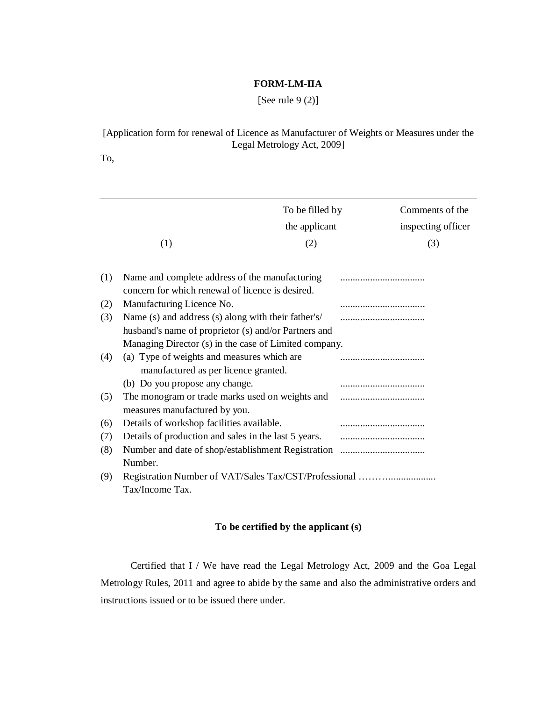## **FORM-LM-IIA**

[See rule 9 (2)]

[Application form for renewal of Licence as Manufacturer of Weights or Measures under the Legal Metrology Act, 2009]

To,

| To be filled by | Comments of the    |
|-----------------|--------------------|
| the applicant   | inspecting officer |
|                 | $\left(3\right)$   |

| (1) | Name and complete address of the manufacturing        |  |  |
|-----|-------------------------------------------------------|--|--|
|     | concern for which renewal of licence is desired.      |  |  |
| (2) | Manufacturing Licence No.                             |  |  |
| (3) | Name (s) and address (s) along with their father's/   |  |  |
|     | husband's name of proprietor (s) and/or Partners and  |  |  |
|     | Managing Director (s) in the case of Limited company. |  |  |
| (4) | (a) Type of weights and measures which are            |  |  |
|     | manufactured as per licence granted.                  |  |  |
|     | (b) Do you propose any change.                        |  |  |
| (5) | The monogram or trade marks used on weights and       |  |  |
|     | measures manufactured by you.                         |  |  |
| (6) | Details of workshop facilities available.             |  |  |
| (7) | Details of production and sales in the last 5 years.  |  |  |
| (8) | Number and date of shop/establishment Registration    |  |  |
|     | Number.                                               |  |  |
| (9) |                                                       |  |  |
|     | Tax/Income Tax.                                       |  |  |

## **To be certified by the applicant (s)**

Certified that I / We have read the Legal Metrology Act, 2009 and the Goa Legal Metrology Rules, 2011 and agree to abide by the same and also the administrative orders and instructions issued or to be issued there under.